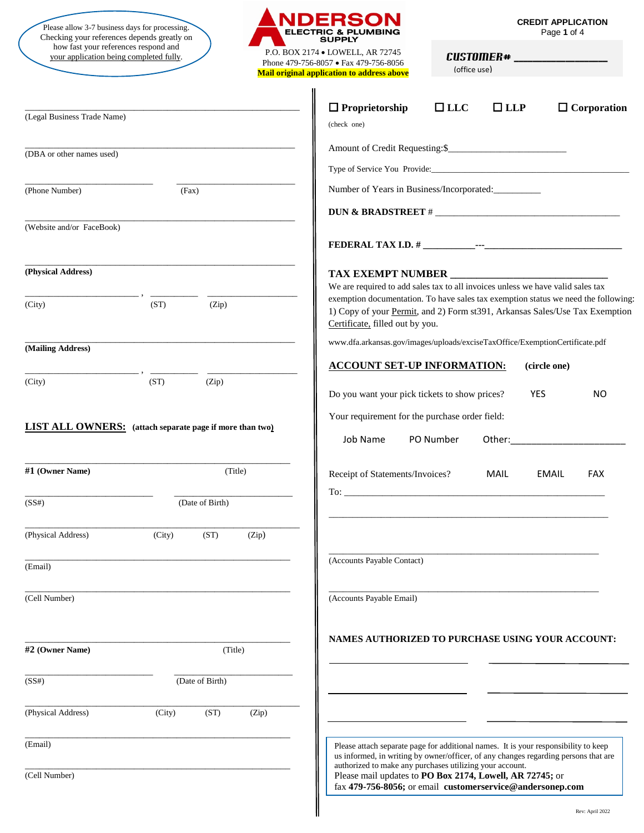Please allow 3-7 business days for processing.<br>
Checking your references depends greatly on **ELECTRIC & PLUMBING**<br> **Checking your references depends greatly on** how fast your references respond and your application being completed fully.<br>P.O. BOX 2174 • LOWELL, AR 72745<br>N. (20.756.0057 · F. (20.756.0057 · F. (20.756.0057 · F. (20.756.0057 · F. (20.756.0057 · F. (20.756.0057 · F.



Phone 479-756-8057 • Fax 479-756-8056 **Mail original application to address above** **CREDIT APPLICATION**<br>Page 1 of 4

CUSTOMER# (office use)

| (Legal Business Trade Name) |                                                                 | $\Box$ Proprietorship<br>$\Box$ LLC<br>$\Box$ LLP<br>$\Box$ Corporation<br>(check one)                                                                                                                                                                                                                    |
|-----------------------------|-----------------------------------------------------------------|-----------------------------------------------------------------------------------------------------------------------------------------------------------------------------------------------------------------------------------------------------------------------------------------------------------|
| (DBA or other names used)   |                                                                 |                                                                                                                                                                                                                                                                                                           |
|                             |                                                                 |                                                                                                                                                                                                                                                                                                           |
| (Phone Number)              | (Fax)                                                           | Number of Years in Business/Incorporated:                                                                                                                                                                                                                                                                 |
|                             |                                                                 |                                                                                                                                                                                                                                                                                                           |
| (Website and/or FaceBook)   |                                                                 |                                                                                                                                                                                                                                                                                                           |
|                             |                                                                 |                                                                                                                                                                                                                                                                                                           |
| (Physical Address)          |                                                                 | We are required to add sales tax to all invoices unless we have valid sales tax                                                                                                                                                                                                                           |
| (City)                      | (ST)<br>(Zip)                                                   | exemption documentation. To have sales tax exemption status we need the following:<br>1) Copy of your Permit, and 2) Form st391, Arkansas Sales/Use Tax Exemption<br>Certificate, filled out by you.                                                                                                      |
| (Mailing Address)           |                                                                 | www.dfa.arkansas.gov/images/uploads/exciseTaxOffice/ExemptionCertificate.pdf                                                                                                                                                                                                                              |
|                             |                                                                 | <b>ACCOUNT SET-UP INFORMATION:</b><br>(circle one)                                                                                                                                                                                                                                                        |
| (City)                      | (ST)<br>(Zip)                                                   | Do you want your pick tickets to show prices?<br><b>YES</b><br>NO.                                                                                                                                                                                                                                        |
|                             | <b>LIST ALL OWNERS:</b> (attach separate page if more than two) | Your requirement for the purchase order field:<br>PO Number<br>Job Name<br>Other: and the control of the control of the control of the control of the control of the control of the control of the control of the control of the control of the control of the control of the control of the control of t |
| #1 (Owner Name)             | (Title)                                                         | Receipt of Statements/Invoices?<br>MAIL<br>EMAIL<br><b>FAX</b>                                                                                                                                                                                                                                            |
| (SS#)                       | (Date of Birth)                                                 |                                                                                                                                                                                                                                                                                                           |
| (Physical Address)          | (City)<br>(ST)<br>(Zip)                                         |                                                                                                                                                                                                                                                                                                           |
| (Email)                     |                                                                 | (Accounts Payable Contact)                                                                                                                                                                                                                                                                                |
| (Cell Number)               |                                                                 | (Accounts Payable Email)                                                                                                                                                                                                                                                                                  |
| #2 (Owner Name)             | (Title)                                                         | <b>NAMES AUTHORIZED TO PURCHASE USING YOUR ACCOUNT:</b>                                                                                                                                                                                                                                                   |
|                             |                                                                 |                                                                                                                                                                                                                                                                                                           |
| (SS#)                       | (Date of Birth)                                                 |                                                                                                                                                                                                                                                                                                           |
| (Physical Address)          | (ST)<br>(City)<br>(Zip)                                         |                                                                                                                                                                                                                                                                                                           |
| (Email)                     |                                                                 | Please attach separate page for additional names. It is your responsibility to keep<br>us informed, in writing by owner/officer, of any changes regarding persons that are<br>authorized to make any purchases utilizing your account.                                                                    |

Please mail updates to **PO Box 2174, Lowell, AR 72745;** or fax **479-756-8056;** or email **customerservice@andersonep.com**

(Cell Number)

Rev: April 2022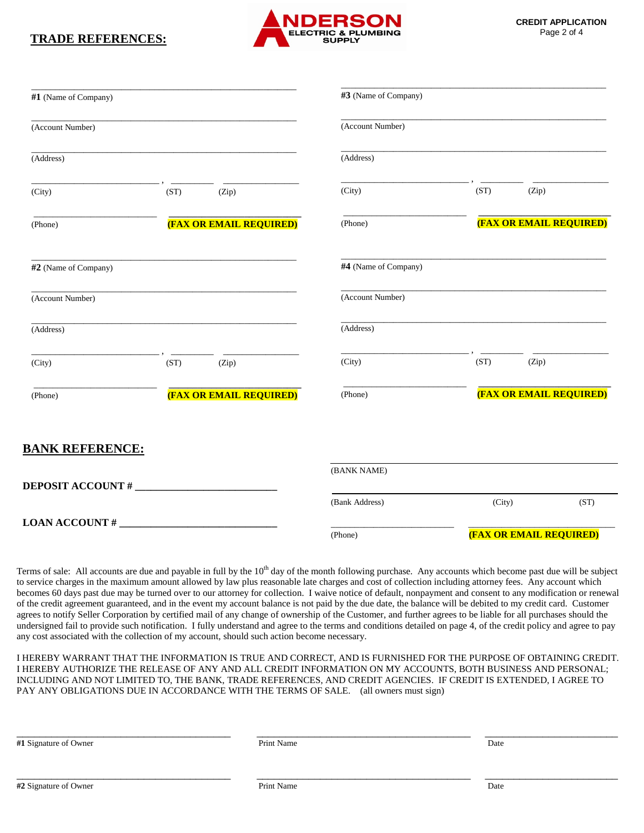## **TRADE REFERENCES:**



| #1 (Name of Company)<br>(Account Number) |      |                                | #3 (Name of Company)<br>(Account Number) |        |                                |  |
|------------------------------------------|------|--------------------------------|------------------------------------------|--------|--------------------------------|--|
|                                          |      |                                |                                          |        |                                |  |
| (City)                                   | (ST) | (Zip)                          | (City)                                   | (ST)   | (Zip)                          |  |
| (Phone)                                  |      | <b>(FAX OR EMAIL REQUIRED)</b> | (Phone)                                  |        | <b>(FAX OR EMAIL REQUIRED)</b> |  |
| #2 (Name of Company)                     |      |                                | #4 (Name of Company)                     |        |                                |  |
| (Account Number)                         |      |                                | (Account Number)                         |        |                                |  |
| (Address)                                |      |                                | (Address)                                |        |                                |  |
| (City)                                   | (ST) | (Zip)                          | (City)                                   | (ST)   | (Zip)                          |  |
| (Phone)                                  |      | <b>(FAX OR EMAIL REQUIRED)</b> | (Phone)                                  |        | <b>(FAX OR EMAIL REQUIRED)</b> |  |
| <u>BANK REFERENCE:</u>                   |      |                                |                                          |        |                                |  |
|                                          |      |                                | (BANK NAME)                              |        |                                |  |
|                                          |      |                                | (Bank Address)                           | (City) | (ST)                           |  |
| $LOAN$ $ACCOUNT$ $#$ $__________$        |      |                                | (Phone)                                  |        | <b>(FAX OR EMAIL REQUIRED)</b> |  |

Terms of sale: All accounts are due and payable in full by the  $10<sup>th</sup>$  day of the month following purchase. Any accounts which become past due will be subject to service charges in the maximum amount allowed by law plus reasonable late charges and cost of collection including attorney fees. Any account which becomes 60 days past due may be turned over to our attorney for collection. I waive notice of default, nonpayment and consent to any modification or renewal of the credit agreement guaranteed, and in the event my account balance is not paid by the due date, the balance will be debited to my credit card. Customer agrees to notify Seller Corporation by certified mail of any change of ownership of the Customer, and further agrees to be liable for all purchases should the undersigned fail to provide such notification. I fully understand and agree to the terms and conditions detailed on page 4, of the credit policy and agree to pay any cost associated with the collection of my account, should such action become necessary.

I HEREBY WARRANT THAT THE INFORMATION IS TRUE AND CORRECT, AND IS FURNISHED FOR THE PURPOSE OF OBTAINING CREDIT. I HEREBY AUTHORIZE THE RELEASE OF ANY AND ALL CREDIT INFORMATION ON MY ACCOUNTS, BOTH BUSINESS AND PERSONAL; INCLUDING AND NOT LIMITED TO, THE BANK, TRADE REFERENCES, AND CREDIT AGENCIES. IF CREDIT IS EXTENDED, I AGREE TO PAY ANY OBLIGATIONS DUE IN ACCORDANCE WITH THE TERMS OF SALE. (all owners must sign)

\_\_\_\_\_\_\_\_\_\_\_\_\_\_\_\_\_\_\_\_\_\_\_\_\_\_\_\_\_\_\_\_\_\_\_\_\_ \_\_\_\_\_\_\_\_\_\_\_\_\_\_\_\_\_\_\_\_\_\_\_\_\_\_\_\_\_\_\_\_\_\_\_\_\_ \_\_\_\_\_\_\_\_\_\_\_\_\_\_\_\_\_\_\_\_\_\_\_

**#1** Signature of Owner Print Name Date

\_\_\_\_\_\_\_\_\_\_\_\_\_\_\_\_\_\_\_\_\_\_\_\_\_\_\_\_\_\_\_\_\_\_\_\_\_ \_\_\_\_\_\_\_\_\_\_\_\_\_\_\_\_\_\_\_\_\_\_\_\_\_\_\_\_\_\_\_\_\_\_\_\_\_ \_\_\_\_\_\_\_\_\_\_\_\_\_\_\_\_\_\_\_\_\_\_\_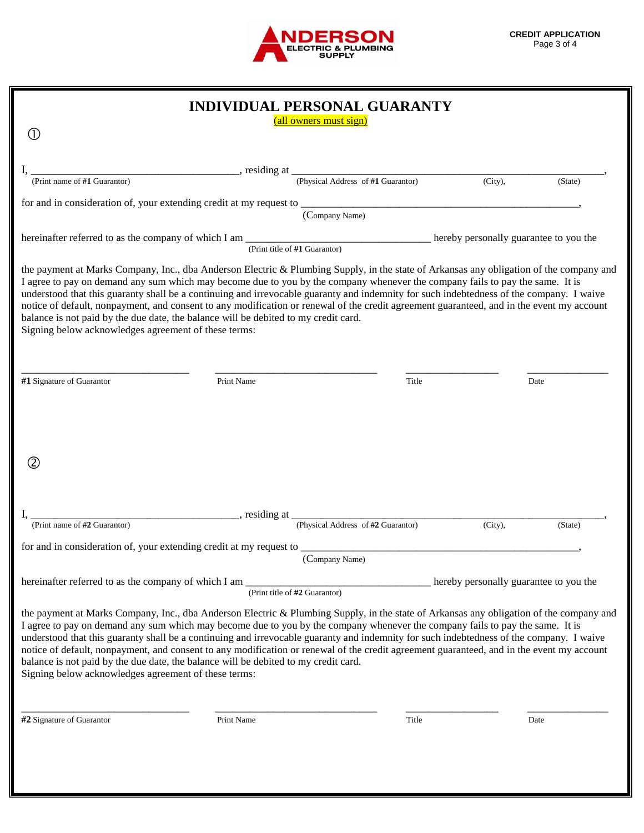

|                                                                                                              | INDIVIDUAL PERSONAL GUARANTY                                                                                                                                                                                                                                                                                                                                                                                                                                                                                                                                                                                                                             |                                    |                                        |         |
|--------------------------------------------------------------------------------------------------------------|----------------------------------------------------------------------------------------------------------------------------------------------------------------------------------------------------------------------------------------------------------------------------------------------------------------------------------------------------------------------------------------------------------------------------------------------------------------------------------------------------------------------------------------------------------------------------------------------------------------------------------------------------------|------------------------------------|----------------------------------------|---------|
| $\left(1\right)$                                                                                             | (all owners must sign)                                                                                                                                                                                                                                                                                                                                                                                                                                                                                                                                                                                                                                   |                                    |                                        |         |
|                                                                                                              |                                                                                                                                                                                                                                                                                                                                                                                                                                                                                                                                                                                                                                                          |                                    |                                        |         |
| (Print name of #1 Guarantor)                                                                                 | (Physical Address of #1 Guarantor)                                                                                                                                                                                                                                                                                                                                                                                                                                                                                                                                                                                                                       |                                    |                                        |         |
|                                                                                                              |                                                                                                                                                                                                                                                                                                                                                                                                                                                                                                                                                                                                                                                          |                                    | $(City)$ ,                             | (State) |
|                                                                                                              | (Company Name)                                                                                                                                                                                                                                                                                                                                                                                                                                                                                                                                                                                                                                           |                                    |                                        |         |
|                                                                                                              | hereinafter referred to as the company of which I am $\frac{1}{(Print\ title\ of\ #1\ Guarantor)}$ hereby personally guarantee to you the                                                                                                                                                                                                                                                                                                                                                                                                                                                                                                                |                                    |                                        |         |
| Signing below acknowledges agreement of these terms:                                                         | the payment at Marks Company, Inc., dba Anderson Electric & Plumbing Supply, in the state of Arkansas any obligation of the company and<br>I agree to pay on demand any sum which may become due to you by the company whenever the company fails to pay the same. It is<br>understood that this guaranty shall be a continuing and irrevocable guaranty and indemnity for such indebtedness of the company. I waive<br>notice of default, nonpayment, and consent to any modification or renewal of the credit agreement guaranteed, and in the event my account<br>balance is not paid by the due date, the balance will be debited to my credit card. |                                    |                                        |         |
|                                                                                                              |                                                                                                                                                                                                                                                                                                                                                                                                                                                                                                                                                                                                                                                          |                                    |                                        |         |
| #1 Signature of Guarantor                                                                                    | Print Name                                                                                                                                                                                                                                                                                                                                                                                                                                                                                                                                                                                                                                               | Title                              |                                        | Date    |
| (2)<br>(Print name of #2 Guarantor)                                                                          | $\frac{1}{\sqrt{1-\frac{1}{\sqrt{1-\frac{1}{\sqrt{1-\frac{1}{\sqrt{1-\frac{1}{\sqrt{1-\frac{1}{\sqrt{1-\frac{1}{\sqrt{1-\frac{1}{\sqrt{1-\frac{1}{\sqrt{1-\frac{1}{\sqrt{1-\frac{1}{\sqrt{1-\frac{1}{\sqrt{1-\frac{1}{\sqrt{1-\frac{1}{\sqrt{1-\frac{1}{\sqrt{1-\frac{1}{\sqrt{1-\frac{1}{\sqrt{1-\frac{1}{\sqrt{1-\frac{1}{\sqrt{1-\frac{1}{\sqrt{1-\frac{1}{\sqrt{1-\frac{1}{\sqrt{1-\frac{1}{\sqrt{1-\frac{1}{\sqrt{1-\frac{1$                                                                                                                                                                                                                        | (Physical Address of #2 Guarantor) | $(City)$ ,                             | (State) |
|                                                                                                              |                                                                                                                                                                                                                                                                                                                                                                                                                                                                                                                                                                                                                                                          |                                    |                                        |         |
|                                                                                                              | for and in consideration of, your extending credit at my request to ____________<br>(Company Name)                                                                                                                                                                                                                                                                                                                                                                                                                                                                                                                                                       |                                    |                                        |         |
|                                                                                                              | (Print title of #2 Guarantor)                                                                                                                                                                                                                                                                                                                                                                                                                                                                                                                                                                                                                            |                                    | hereby personally guarantee to you the |         |
| hereinafter referred to as the company of which I am<br>Signing below acknowledges agreement of these terms: | the payment at Marks Company, Inc., dba Anderson Electric & Plumbing Supply, in the state of Arkansas any obligation of the company and<br>I agree to pay on demand any sum which may become due to you by the company whenever the company fails to pay the same. It is<br>understood that this guaranty shall be a continuing and irrevocable guaranty and indemnity for such indebtedness of the company. I waive<br>notice of default, nonpayment, and consent to any modification or renewal of the credit agreement guaranteed, and in the event my account<br>balance is not paid by the due date, the balance will be debited to my credit card. |                                    |                                        |         |